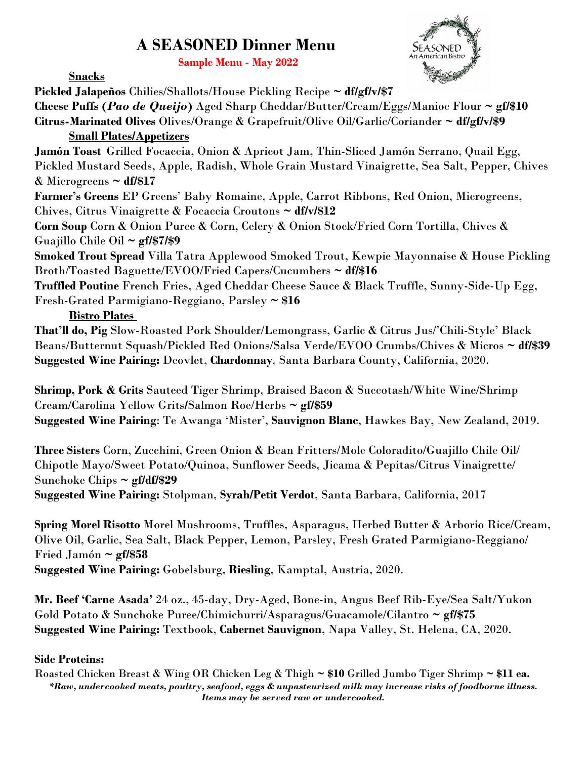## **A SEASONED Dinner Menu**

 **Sample Menu - May <sup>2022</sup>**



**Snacks**

**Pickled Jalapeños** Chilies/Shallots/House Pickling Recipe **~ df/gf/v/\$7 Cheese Puffs (***Pao de Queijo***)** Aged Sharp Cheddar/Butter/Cream/Eggs/Manioc Flour **~ gf/\$10 Citrus-Marinated Olives** Olives/Orange & Grapefruit/Olive Oil/Garlic/Coriander **~ df/gf/v/\$9 Small Plates/Appetizers Jamón Toast** Grilled Focaccia, Onion & Apricot Jam, Thin-Sliced Jamón Serrano, Quail Egg, Pickled Mustard Seeds, Apple, Radish, Whole Grain Mustard Vinaigrette, Sea Salt, Pepper, Chives & Microgreens **~ df/\$17 Farmer's Greens** EP Greens' Baby Romaine, Apple, Carrot Ribbons, Red Onion, Microgreens, Chives, Citrus Vinaigrette & Focaccia Croutons **~ df/v/\$12 Corn Soup** Corn & Onion Puree & Corn, Celery & Onion Stock/Fried Corn Tortilla, Chives & Guajillo Chile Oil **~ gf/\$7/\$9 Smoked Trout Spread** Villa Tatra Applewood Smoked Trout, Kewpie Mayonnaise & House Pickling Broth/Toasted Baguette/EVOO/Fried Capers/Cucumbers **~ df/\$16 Truffled Poutine** French Fries, Aged Cheddar Cheese Sauce & Black Truffle, Sunny-Side-Up Egg, Fresh-Grated Parmigiano-Reggiano, Parsley **~ \$16 Bistro Plates That'll do, Pig** Slow-Roasted Pork Shoulder/Lemongrass, Garlic & Citrus Jus/'Chili-Style' Black

Beans/Butternut Squash/Pickled Red Onions/Salsa Verde/EVOO Crumbs/Chives & Micros **~ df/\$39 Suggested Wine Pairing:** Deovlet, **Chardonnay**, Santa Barbara County, California, 2020.

**Shrimp, Pork & Grits** Sauteed Tiger Shrimp, Braised Bacon & Succotash/White Wine/Shrimp Cream/Carolina Yellow Grits**/**Salmon Roe/Herbs **~ gf/\$59 Suggested Wine Pairing**: Te Awanga 'Mister', **Sauvignon Blanc**, Hawkes Bay, New Zealand, 2019.

**Three Sisters** Corn, Zucchini, Green Onion & Bean Fritters/Mole Coloradito/Guajillo Chile Oil/ Chipotle Mayo/Sweet Potato/Quinoa, Sunflower Seeds, Jicama & Pepitas/Citrus Vinaigrette/ Sunchoke Chips **~ gf/df/\$29**

**Suggested Wine Pairing:** Stolpman, **Syrah/Petit Verdot**, Santa Barbara, California, 2017

**Spring Morel Risotto** Morel Mushrooms, Truffles, Asparagus, Herbed Butter & Arborio Rice/Cream, Olive Oil, Garlic, Sea Salt, Black Pepper, Lemon, Parsley, Fresh Grated Parmigiano-Reggiano/ Fried Jamón **~ gf/\$58 Suggested Wine Pairing:** Gobelsburg, **Riesling**, Kamptal, Austria, 2020.

**Mr. Beef 'Carne Asada'** 24 oz., 45-day, Dry-Aged, Bone-in, Angus Beef Rib-Eye/Sea Salt/Yukon Gold Potato & Sunchoke Puree/Chimichurri/Asparagus/Guacamole/Cilantro **~ gf/\$75 Suggested Wine Pairing:** Textbook, **Cabernet Sauvignon**, Napa Valley, St. Helena, CA, 2020.

## **Side Proteins:**

Roasted Chicken Breast & Wing OR Chicken Leg & Thigh **~ \$10** Grilled Jumbo Tiger Shrimp **~ \$11 ea.** *\*Raw, undercooked meats, poultry, seafood, eggs & unpasteurized milk may increase risks of foodborne illness. Items may be served raw or undercooked.*